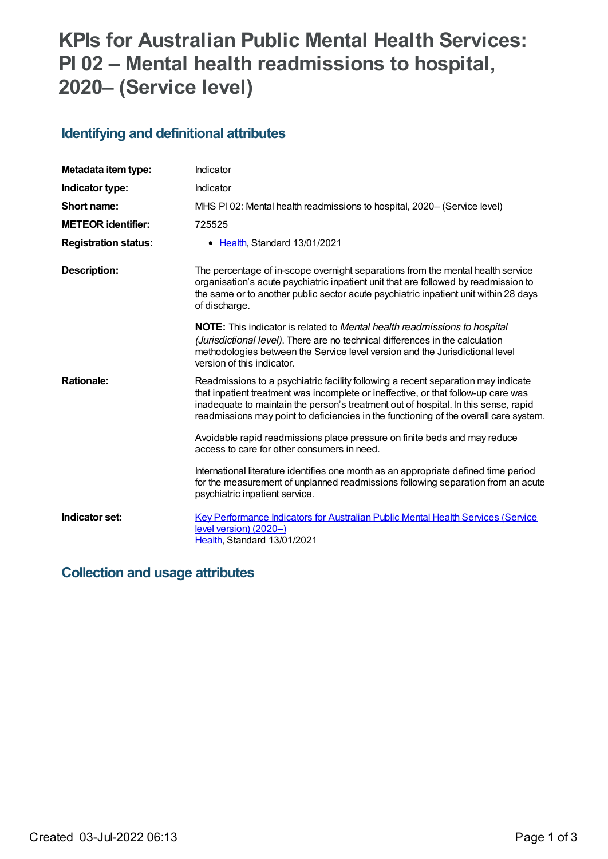# **KPIs for Australian Public Mental Health Services: PI 02 – Mental health readmissions to hospital, 2020– (Service level)**

## **Identifying and definitional attributes**

| Metadata item type:         | Indicator                                                                                                                                                                                                                                                                                                                                               |
|-----------------------------|---------------------------------------------------------------------------------------------------------------------------------------------------------------------------------------------------------------------------------------------------------------------------------------------------------------------------------------------------------|
| Indicator type:             | Indicator                                                                                                                                                                                                                                                                                                                                               |
| Short name:                 | MHS PI02: Mental health readmissions to hospital, 2020– (Service level)                                                                                                                                                                                                                                                                                 |
| <b>METEOR identifier:</b>   | 725525                                                                                                                                                                                                                                                                                                                                                  |
| <b>Registration status:</b> | Health, Standard 13/01/2021<br>$\bullet$                                                                                                                                                                                                                                                                                                                |
| <b>Description:</b>         | The percentage of in-scope overnight separations from the mental health service<br>organisation's acute psychiatric inpatient unit that are followed by readmission to<br>the same or to another public sector acute psychiatric inpatient unit within 28 days<br>of discharge.                                                                         |
|                             | <b>NOTE:</b> This indicator is related to Mental health readmissions to hospital<br>(Jurisdictional level). There are no technical differences in the calculation<br>methodologies between the Service level version and the Jurisdictional level<br>version of this indicator.                                                                         |
| <b>Rationale:</b>           | Readmissions to a psychiatric facility following a recent separation may indicate<br>that inpatient treatment was incomplete or ineffective, or that follow-up care was<br>inadequate to maintain the person's treatment out of hospital. In this sense, rapid<br>readmissions may point to deficiencies in the functioning of the overall care system. |
|                             | Avoidable rapid readmissions place pressure on finite beds and may reduce<br>access to care for other consumers in need.                                                                                                                                                                                                                                |
|                             | International literature identifies one month as an appropriate defined time period<br>for the measurement of unplanned readmissions following separation from an acute<br>psychiatric inpatient service.                                                                                                                                               |
| Indicator set:              | <b>Key Performance Indicators for Australian Public Mental Health Services (Service</b><br>level version) (2020-)<br>Health, Standard 13/01/2021                                                                                                                                                                                                        |

### **Collection and usage attributes**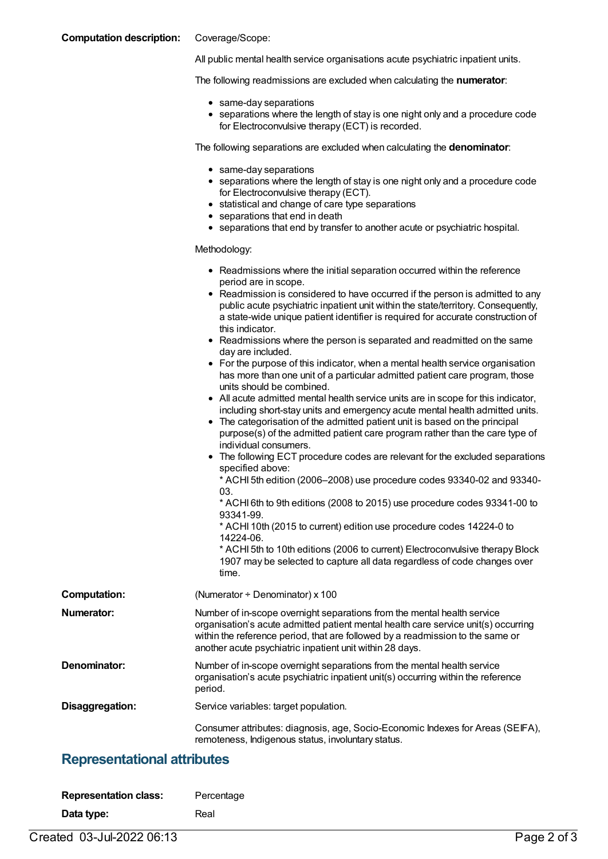#### **Computation description:** Coverage/Scope:

All public mental health service organisations acute psychiatric inpatient units.

The following readmissions are excluded when calculating the **numerator**:

- same-day separations
- separations where the length of stay is one night only and a procedure code for Electroconvulsive therapy (ECT) is recorded.

The following separations are excluded when calculating the **denominator**:

- same-day separations
- separations where the length of stay is one night only and a procedure code for Electroconvulsive therapy (ECT).
- statistical and change of care type separations
- separations that end in death
- separations that end by transfer to another acute or psychiatric hospital.

#### Methodology:

|                     | • Readmissions where the initial separation occurred within the reference<br>period are in scope.<br>• Readmission is considered to have occurred if the person is admitted to any<br>public acute psychiatric inpatient unit within the state/territory. Consequently,<br>a state-wide unique patient identifier is required for accurate construction of<br>this indicator.<br>• Readmissions where the person is separated and readmitted on the same<br>day are included.<br>• For the purpose of this indicator, when a mental health service organisation<br>has more than one unit of a particular admitted patient care program, those<br>units should be combined.<br>• All acute admitted mental health service units are in scope for this indicator,<br>including short-stay units and emergency acute mental health admitted units.<br>• The categorisation of the admitted patient unit is based on the principal<br>purpose(s) of the admitted patient care program rather than the care type of<br>individual consumers.<br>• The following ECT procedure codes are relevant for the excluded separations<br>specified above:<br>* ACHI 5th edition (2006-2008) use procedure codes 93340-02 and 93340-<br>03.<br>* ACHI 6th to 9th editions (2008 to 2015) use procedure codes 93341-00 to<br>93341-99.<br>* ACHI 10th (2015 to current) edition use procedure codes 14224-0 to<br>14224-06.<br>* ACHI 5th to 10th editions (2006 to current) Electroconvulsive therapy Block<br>1907 may be selected to capture all data regardless of code changes over<br>time. |
|---------------------|-------------------------------------------------------------------------------------------------------------------------------------------------------------------------------------------------------------------------------------------------------------------------------------------------------------------------------------------------------------------------------------------------------------------------------------------------------------------------------------------------------------------------------------------------------------------------------------------------------------------------------------------------------------------------------------------------------------------------------------------------------------------------------------------------------------------------------------------------------------------------------------------------------------------------------------------------------------------------------------------------------------------------------------------------------------------------------------------------------------------------------------------------------------------------------------------------------------------------------------------------------------------------------------------------------------------------------------------------------------------------------------------------------------------------------------------------------------------------------------------------------------------------------------------------------------------------------------|
| <b>Computation:</b> | (Numerator + Denominator) x 100                                                                                                                                                                                                                                                                                                                                                                                                                                                                                                                                                                                                                                                                                                                                                                                                                                                                                                                                                                                                                                                                                                                                                                                                                                                                                                                                                                                                                                                                                                                                                     |
| Numerator:          | Number of in-scope overnight separations from the mental health service<br>organisation's acute admitted patient mental health care service unit(s) occurring<br>within the reference period, that are followed by a readmission to the same or<br>another acute psychiatric inpatient unit within 28 days.                                                                                                                                                                                                                                                                                                                                                                                                                                                                                                                                                                                                                                                                                                                                                                                                                                                                                                                                                                                                                                                                                                                                                                                                                                                                         |
| Denominator:        | Number of in-scope overnight separations from the mental health service<br>organisation's acute psychiatric inpatient unit(s) occurring within the reference<br>period.                                                                                                                                                                                                                                                                                                                                                                                                                                                                                                                                                                                                                                                                                                                                                                                                                                                                                                                                                                                                                                                                                                                                                                                                                                                                                                                                                                                                             |
| Disaggregation:     | Service variables: target population.                                                                                                                                                                                                                                                                                                                                                                                                                                                                                                                                                                                                                                                                                                                                                                                                                                                                                                                                                                                                                                                                                                                                                                                                                                                                                                                                                                                                                                                                                                                                               |
|                     | Consumer attributes: diagnosis, age, Socio-Economic Indexes for Areas (SEIFA),<br>remoteness, Indigenous status, involuntary status.                                                                                                                                                                                                                                                                                                                                                                                                                                                                                                                                                                                                                                                                                                                                                                                                                                                                                                                                                                                                                                                                                                                                                                                                                                                                                                                                                                                                                                                |

### **Representational attributes**

| <b>Representation class:</b> | Percentage |
|------------------------------|------------|
| Data type:                   | Real       |